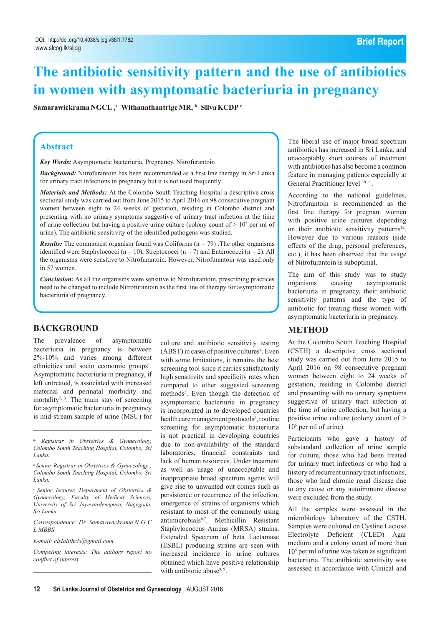# **The antibiotic sensitivity pattern and the use of antibiotics in women with asymptomatic bacteriuria in pregnancy**

 $\mathbf{S}$ amarawickrama NGCL , $^{\mathrm{a}}$  Withanathantrige MR,  $^{\mathrm{b}}$  Silva KCDP  $^{\mathrm{c}}$ 

#### **Abstract**

*Key Words:* Asymptomatic bacteriuria, Pregnancy, Nitrofurantoin

*Background:* Nitrofurantoin has been recommended as a first line therapy in Sri Lanka for urinary tract infections in pregnancy but it is not used frequently

*Materials and Methods:* At the Colombo South Teaching Hospital a descriptive cross sectional study was carried out from June 2015 to April 2016 on 98 consecutive pregnant women between eight to 24 weeks of gestation, residing in Colombo district and presenting with no urinary symptoms suggestive of urinary tract infection at the time of urine collection but having a positive urine culture (colony count of  $> 10<sup>5</sup>$  per ml of urine). The antibiotic sensitivity of the identified pathogens was studied.

*Results:* The commonest organism found was Coliforms ( $n = 79$ ). The other organisms identified were Staphylococci ( $n = 10$ ), Streptococci ( $n = 7$ ) and Enterococci ( $n = 2$ ). All the organisms were sensitive to Nitrofurantoin. However, Nitrofurantoin was used only in 57 women.

*Conclusion:* As all the organisms were sensitive to Nitrofurantoin, prescribing practices need to be changed to include Nitrofurantoin as the first line of therapy for asymptomatic bacteriuria of pregnancy.

# **Background**

The prevalence of asymptomatic bacteriuria in pregnancy is between 2%-10% and varies among different ethnicities and socio economic groups<sup>1</sup>. Asymptomatic bacteriuria in pregnancy, if left untreated, is associated with increased maternal and perinatal morbidity and mortality<sup>2, 3</sup>. The main stay of screening for asymptomatic bacteriuria in pregnancy is mid-stream sample of urine (MSU) for

*E-mail: clslalithcls@gmail.com* 

*Competing interests: The authors report no conflict of interest* 

culture and antibiotic sensitivity testing (ABST) in cases of positive cultures<sup>4</sup>. Even with some limitations, it remains the best screening tool since it carries satisfactorily high sensitivity and specificity rates when compared to other suggested screening methods<sup>5</sup>. Even though the detection of asymptomatic bacteriuria in pregnancy is incorporated in to developed countries health care management protocols<sup>5</sup>, routine screening for asymptomatic bacteriuria is not practical in developing countries due to non-availability of the standard laboratories, financial constraints and lack of human resources. Under treatment as well as usage of unacceptable and inappropriate broad spectrum agents will give rise to unwanted out comes such as persistence or recurrence of the infection, emergence of strains of organisms which resistant to most of the commonly using antimicrobials6,7. Methicillin Resistant Staphylococcus Aureus (MRSA) strains, Extended Spectrum of beta Lactamase (ESBL) producing strains are seen with increased incidence in urine cultures obtained which have positive relationship with antibiotic abuse<sup>8, 9</sup>.

The liberal use of major broad spectrum antibiotics has increased in Sri Lanka, and unacceptably short courses of treatment with antibiotics has also become a common feature in managing patients especially at General Practitioner level  $10, 11$ .

According to the national guidelines, Nitrofurantoin is recommended as the first line therapy for pregnant women with positive urine cultures depending on their antibiotic sensitivity patterns<sup>12</sup>. However due to various reasons (side effects of the drug, personal preferences, etc.), it has been observed that the usage of Nitrofurantoin is suboptimal.

The aim of this study was to study organisms causing asymptomatic bacteriuria in pregnancy, their antibiotic sensitivity patterns and the type of antibiotic for treating these women with asymptomatic bacteriuria in pregnancy.

# **Method**

At the Colombo South Teaching Hospital (CSTH) a descriptive cross sectional study was carried out from June 2015 to April 2016 on 98 consecutive pregnant women between eight to 24 weeks of gestation, residing in Colombo district and presenting with no urinary symptoms suggestive of urinary tract infection at the time of urine collection, but having a positive urine culture (colony count of > 105 per ml of urine).

Participants who gave a history of substandard collection of urine sample for culture, those who had been treated for urinary tract infections or who had a history of recurrent urinary tract infections, those who had chronic renal disease due to any cause or any autoimmune disease were excluded from the study.

All the samples were assessed in the microbiology laboratory of the CSTH. Samples were cultured on Cystine Lactose Electrolyte Deficient (CLED) Agar medium and a colony count of more than 105 per ml of urine was taken as significant bacteriuria. The antibiotic sensitivity was assessed in accordance with Clinical and

*a, Registrar in Obstetrics & Gynaecology, Colombo South Teaching Hospital, Colombo, Sri Lanka.* 

*b Senior Registrar in Obstetrics & Gynaecology , Colombo South Teaching Hospital, Colombo, Sri Lanka,*

*c Senior lecturer, Department of Obstetrics & Gynaecology, Faculty of Medical Sciences, University of Sri Jayewardenepura, Nugegoda, Sri Lanka*

*Correspondence: Dr. Samarawickrama N G C L MBBS*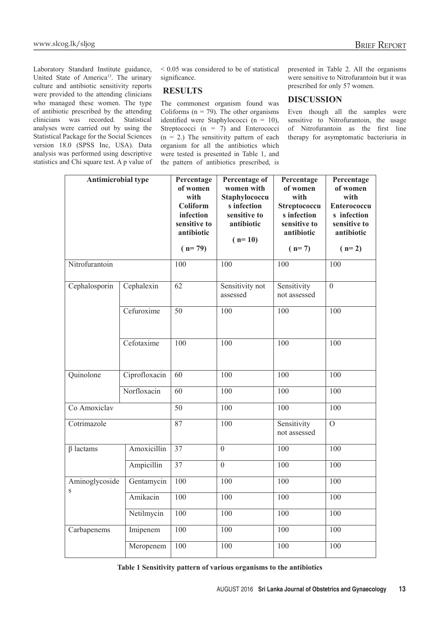Laboratory Standard Institute guidance, United State of America<sup>13</sup>. The urinary culture and antibiotic sensitivity reports were provided to the attending clinicians who managed these women. The type of antibiotic prescribed by the attending clinicians was recorded. Statistical analyses were carried out by using the Statistical Package for the Social Sciences version 18.0 (SPSS Inc, USA). Data analysis was performed using descriptive statistics and Chi square test. A p value of

< 0.05 was considered to be of statistical significance.

# **Results**

The commonest organism found was Coliforms ( $n = 79$ ). The other organisms identified were Staphylococci (n = 10), Streptococci  $(n = 7)$  and Enterococci  $(n = 2)$  The sensitivity pattern of each organism for all the antibiotics which were tested is presented in Table 1, and the pattern of antibiotics prescribed, is presented in Table 2. All the organisms were sensitive to Nitrofurantoin but it was prescribed for only 57 women.

## **Discussion**

Even though all the samples were sensitive to Nitrofurantoin, the usage of Nitrofurantoin as the first line therapy for asymptomatic bacteriuria in

| <b>Antimicrobial type</b> |               | Percentage<br>of women<br>with<br><b>Coliform</b><br>infection<br>sensitive to<br>antibiotic<br>$(n=79)$ | Percentage of<br>women with<br>Staphylococcu<br>s infection<br>sensitive to<br>antibiotic<br>$(n=10)$ | Percentage<br>of women<br>with<br>Streptococcu<br>s infection<br>sensitive to<br>antibiotic<br>$(n=7)$ | Percentage<br>of women<br>with<br><b>Enterococcu</b><br>s infection<br>sensitive to<br>antibiotic<br>$(n=2)$ |
|---------------------------|---------------|----------------------------------------------------------------------------------------------------------|-------------------------------------------------------------------------------------------------------|--------------------------------------------------------------------------------------------------------|--------------------------------------------------------------------------------------------------------------|
| Nitrofurantoin            |               | 100                                                                                                      | 100                                                                                                   | 100                                                                                                    | 100                                                                                                          |
| Cephalosporin             | Cephalexin    | $\overline{62}$                                                                                          | Sensitivity not<br>assessed                                                                           | Sensitivity<br>not assessed                                                                            | $\overline{0}$                                                                                               |
|                           | Cefuroxime    | $\overline{50}$                                                                                          | 100                                                                                                   | 100                                                                                                    | 100                                                                                                          |
|                           | Cefotaxime    | $\overline{100}$                                                                                         | 100                                                                                                   | $\overline{100}$                                                                                       | $\overline{100}$                                                                                             |
| Quinolone                 | Ciprofloxacin | 60                                                                                                       | 100                                                                                                   | 100                                                                                                    | 100                                                                                                          |
|                           | Norfloxacin   | 60                                                                                                       | $\overline{100}$                                                                                      | 100                                                                                                    | 100                                                                                                          |
| Co Amoxiclav              |               | $\overline{50}$                                                                                          | 100                                                                                                   | 100                                                                                                    | 100                                                                                                          |
| Cotrimazole               |               | $\overline{87}$                                                                                          | 100                                                                                                   | Sensitivity<br>not assessed                                                                            | $\overline{0}$                                                                                               |
| $\beta$ lactams           | Amoxicillin   | $\overline{37}$                                                                                          | $\overline{0}$                                                                                        | 100                                                                                                    | 100                                                                                                          |
|                           | Ampicillin    | $\overline{37}$                                                                                          | $\overline{0}$                                                                                        | 100                                                                                                    | 100                                                                                                          |
| Aminoglycoside<br>S       | Gentamycin    | $\overline{100}$                                                                                         | 100                                                                                                   | 100                                                                                                    | 100                                                                                                          |
|                           | Amikacin      | $\overline{100}$                                                                                         | 100                                                                                                   | 100                                                                                                    | 100                                                                                                          |
|                           | Netilmycin    | 100                                                                                                      | 100                                                                                                   | 100                                                                                                    | 100                                                                                                          |
| Carbapenems               | Imipenem      | $\overline{100}$                                                                                         | 100                                                                                                   | 100                                                                                                    | 100                                                                                                          |
|                           | Meropenem     | 100                                                                                                      | 100                                                                                                   | 100                                                                                                    | 100                                                                                                          |

**Table 1 Sensitivity pattern of various organisms to the antibiotics**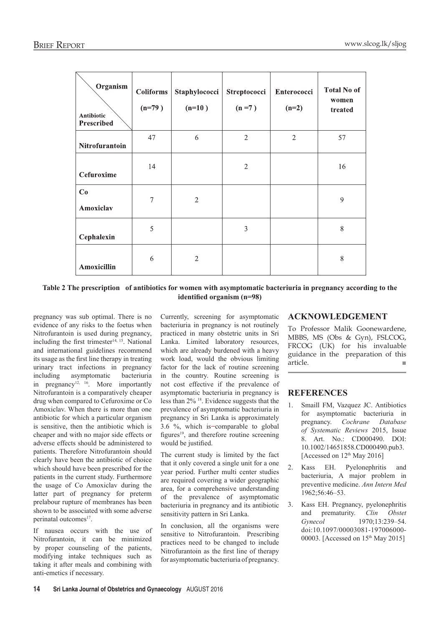| Organism<br>Antibiotic<br>Prescribed | <b>Coliforms</b><br>$(n=79)$ | Staphylococci<br>$(n=10)$ | Streptococci<br>$(n=7)$ | Enterococci<br>$(n=2)$ | <b>Total No of</b><br>women<br>treated |
|--------------------------------------|------------------------------|---------------------------|-------------------------|------------------------|----------------------------------------|
| Nitrofurantoin                       | 47                           | 6                         | $\overline{2}$          | $\overline{c}$         | 57                                     |
| Cefuroxime                           | 14                           |                           | $\mathbf{2}$            |                        | 16                                     |
| Co<br>Amoxiclav                      | 7                            | $\overline{2}$            |                         |                        | 9                                      |
| Cephalexin                           | 5                            |                           | 3                       |                        | 8                                      |
| Amoxicillin                          | 6                            | $\overline{2}$            |                         |                        | 8                                      |

**Table 2 The prescription of antibiotics for women with asymptomatic bacteriuria in pregnancy according to the identified organism (n=98)**

pregnancy was sub optimal. There is no evidence of any risks to the foetus when Nitrofurantoin is used during pregnancy, including the first trimester $14, 15$ . National and international guidelines recommend its usage as the first line therapy in treating urinary tract infections in pregnancy including asymptomatic bacteriuria in pregnancy<sup>12, 16</sup>. More importantly Nitrofurantoin is a comparatively cheaper drug when compared to Cefuroxime or Co Amoxiclav. When there is more than one antibiotic for which a particular organism is sensitive, then the antibiotic which is cheaper and with no major side effects or adverse effects should be administered to patients. Therefore Nitrofurantoin should clearly have been the antibiotic of choice which should have been prescribed for the patients in the current study. Furthermore the usage of Co Amoxiclav during the latter part of pregnancy for preterm prelabour rupture of membranes has been shown to be associated with some adverse perinatal outcomes<sup>17</sup>.

If nausea occurs with the use of Nitrofurantoin, it can be minimized by proper counseling of the patients, modifying intake techniques such as taking it after meals and combining with anti-emetics if necessary.

Currently, screening for asymptomatic bacteriuria in pregnancy is not routinely practiced in many obstetric units in Sri Lanka. Limited laboratory resources, which are already burdened with a heavy work load, would the obvious limiting factor for the lack of routine screening in the country. Routine screening is not cost effective if the prevalence of asymptomatic bacteriuria in pregnancy is less than 2% 18. Evidence suggests that the prevalence of asymptomatic bacteriuria in pregnancy in Sri Lanka is approximately 3.6  $\%$ , which is comparable to global figures<sup>19</sup>, and therefore routine screening would be justified.

The current study is limited by the fact that it only covered a single unit for a one year period. Further multi center studies are required covering a wider geographic area, for a comprehensive understanding of the prevalence of asymptomatic bacteriuria in pregnancy and its antibiotic sensitivity pattern in Sri Lanka.

In conclusion, all the organisms were sensitive to Nitrofurantoin. Prescribing practices need to be changed to include Nitrofurantoin as the first line of therapy for asymptomatic bacteriuria of pregnancy.

## **Acknowledgement**

To Professor Malik Goonewardene, MBBS, MS (Obs & Gyn), FSLCOG, FRCOG (UK) for his invaluable guidance in the preparation of this article.

# **References**

- 1. Smaill FM, Vazquez JC. Antibiotics for asymptomatic bacteriuria in pregnancy. *Cochrane Database of Systematic Reviews* 2015, Issue 8. Art. No.: CD000490. DOI: 10.1002/14651858.CD000490.pub3. [Accessed on  $12<sup>th</sup>$  May 2016]
- 2. Kass EH. Pyelonephritis and bacteriuria, A major problem in preventive medicine. *Ann Intern Med*  1962;56:46–53.
- 3. Kass EH. Pregnancy, pyelonephritis and prematurity. *Clin Obstet Gynecol* 1970;13:239–54. doi:10.1097/00003081-197006000- 00003. [Accessed on 15<sup>th</sup> May 2015]